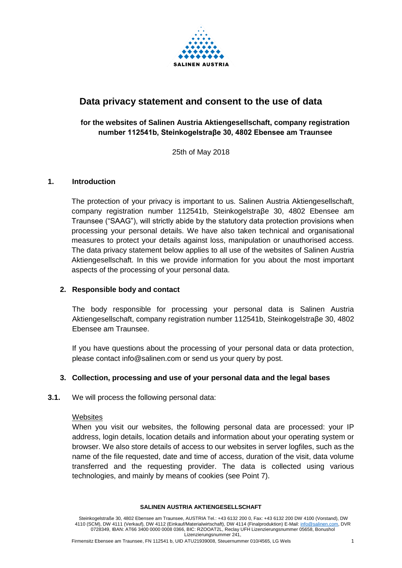

# **Data privacy statement and consent to the use of data**

## **for the websites of Salinen Austria Aktiengesellschaft, company registration number 112541b, Steinkogelstraβe 30, 4802 Ebensee am Traunsee**

25th of May 2018

## **1. Introduction**

The protection of your privacy is important to us. Salinen Austria Aktiengesellschaft, company registration number 112541b, Steinkogelstraβe 30, 4802 Ebensee am Traunsee ("SAAG"), will strictly abide by the statutory data protection provisions when processing your personal details. We have also taken technical and organisational measures to protect your details against loss, manipulation or unauthorised access. The data privacy statement below applies to all use of the websites of Salinen Austria Aktiengesellschaft. In this we provide information for you about the most important aspects of the processing of your personal data.

## **2. Responsible body and contact**

The body responsible for processing your personal data is Salinen Austria Aktiengesellschaft, company registration number 112541b, Steinkogelstraβe 30, 4802 Ebensee am Traunsee.

If you have questions about the processing of your personal data or data protection, please contact info@salinen.com or send us your query by post.

## **3. Collection, processing and use of your personal data and the legal bases**

**3.1.** We will process the following personal data:

## **Websites**

When you visit our websites, the following personal data are processed: your IP address, login details, location details and information about your operating system or browser. We also store details of access to our websites in server logfiles, such as the name of the file requested, date and time of access, duration of the visit, data volume transferred and the requesting provider. The data is collected using various technologies, and mainly by means of cookies (see Point 7).

#### **SALINEN AUSTRIA AKTIENGESELLSCHAFT**

Steinkogelstraße 30, 4802 Ebensee am Traunsee, AUSTRIA Tel.: +43 6132 200 0, Fax: +43 6132 200 DW 4100 (Vorstand), DW 4110 (SCM), DW 4111 (Verkauf), DW 4112 (Einkauf/Materialwirtschaft), DW 4114 (Finalproduktion) E-Mail[: info@salinen.com,](mailto:info@salinen.com) DVR 0728349, IBAN: AT66 3400 0000 0008 0366, BIC: RZOOAT2L, Reclay UFH Lizenzierungsnummer 05658, Bonushol Lizenzierungsnummer 241,

Firmensitz Ebensee am Traunsee, FN 112541 b, UID ATU21939008, Steuernummer 010/4565, LG Wels 1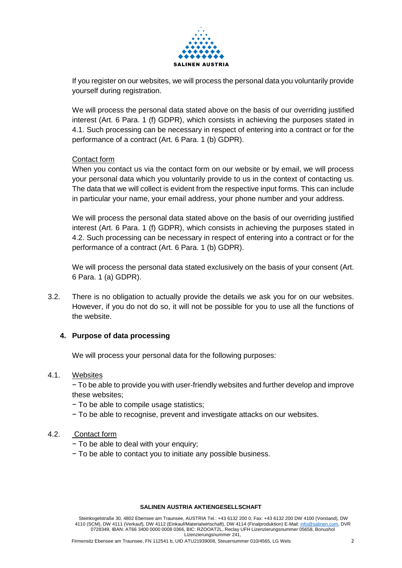

If you register on our websites, we will process the personal data you voluntarily provide yourself during registration.

We will process the personal data stated above on the basis of our overriding justified interest (Art. 6 Para. 1 (f) GDPR), which consists in achieving the purposes stated in 4.1. Such processing can be necessary in respect of entering into a contract or for the performance of a contract (Art. 6 Para. 1 (b) GDPR).

## Contact form

When you contact us via the contact form on our website or by email, we will process your personal data which you voluntarily provide to us in the context of contacting us. The data that we will collect is evident from the respective input forms. This can include in particular your name, your email address, your phone number and your address.

We will process the personal data stated above on the basis of our overriding justified interest (Art. 6 Para. 1 (f) GDPR), which consists in achieving the purposes stated in 4.2. Such processing can be necessary in respect of entering into a contract or for the performance of a contract (Art. 6 Para. 1 (b) GDPR).

We will process the personal data stated exclusively on the basis of your consent (Art. 6 Para. 1 (a) GDPR).

3.2. There is no obligation to actually provide the details we ask you for on our websites. However, if you do not do so, it will not be possible for you to use all the functions of the website.

## **4. Purpose of data processing**

We will process your personal data for the following purposes:

## 4.1. Websites

− To be able to provide you with user-friendly websites and further develop and improve these websites;

- − To be able to compile usage statistics;
- − To be able to recognise, prevent and investigate attacks on our websites.

## 4.2. Contact form

- − To be able to deal with your enquiry;
- − To be able to contact you to initiate any possible business.

#### **SALINEN AUSTRIA AKTIENGESELLSCHAFT**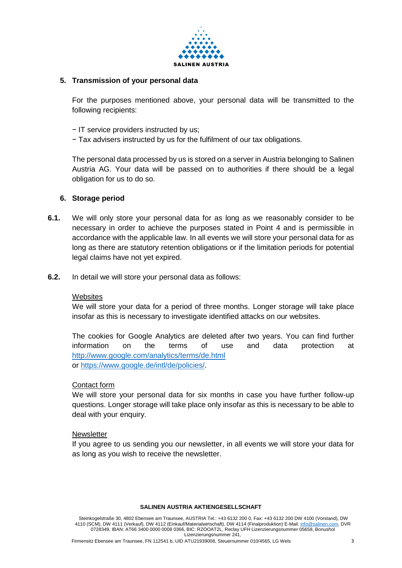

### **5. Transmission of your personal data**

For the purposes mentioned above, your personal data will be transmitted to the following recipients:

- − IT service providers instructed by us;
- − Tax advisers instructed by us for the fulfilment of our tax obligations.

The personal data processed by us is stored on a server in Austria belonging to Salinen Austria AG. Your data will be passed on to authorities if there should be a legal obligation for us to do so.

### **6. Storage period**

- **6.1.** We will only store your personal data for as long as we reasonably consider to be necessary in order to achieve the purposes stated in Point 4 and is permissible in accordance with the applicable law. In all events we will store your personal data for as long as there are statutory retention obligations or if the limitation periods for potential legal claims have not yet expired.
- **6.2.** In detail we will store your personal data as follows:

### **Websites**

We will store your data for a period of three months. Longer storage will take place insofar as this is necessary to investigate identified attacks on our websites.

The cookies for Google Analytics are deleted after two years. You can find further information on the terms of use and data protection at <http://www.google.com/analytics/terms/de.html> or [https://www.google.de/intl/de/policies/.](https://www.google.de/intl/de/policies/)

### Contact form

We will store your personal data for six months in case you have further follow-up questions. Longer storage will take place only insofar as this is necessary to be able to deal with your enquiry.

### **Newsletter**

If you agree to us sending you our newsletter, in all events we will store your data for as long as you wish to receive the newsletter.

#### **SALINEN AUSTRIA AKTIENGESELLSCHAFT**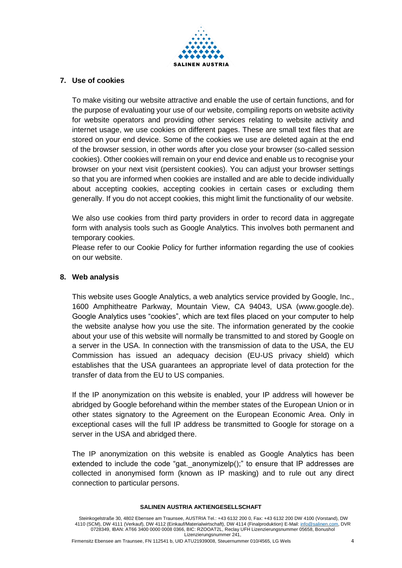

## **7. Use of cookies**

To make visiting our website attractive and enable the use of certain functions, and for the purpose of evaluating your use of our website, compiling reports on website activity for website operators and providing other services relating to website activity and internet usage, we use cookies on different pages. These are small text files that are stored on your end device. Some of the cookies we use are deleted again at the end of the browser session, in other words after you close your browser (so-called session cookies). Other cookies will remain on your end device and enable us to recognise your browser on your next visit (persistent cookies). You can adjust your browser settings so that you are informed when cookies are installed and are able to decide individually about accepting cookies, accepting cookies in certain cases or excluding them generally. If you do not accept cookies, this might limit the functionality of our website.

We also use cookies from third party providers in order to record data in aggregate form with analysis tools such as Google Analytics. This involves both permanent and temporary cookies.

Please refer to our Cookie Policy for further information regarding the use of cookies on our website.

## **8. Web analysis**

This website uses Google Analytics, a web analytics service provided by Google, Inc., 1600 Amphitheatre Parkway, Mountain View, CA 94043, USA (www.google.de). Google Analytics uses "cookies", which are text files placed on your computer to help the website analyse how you use the site. The information generated by the cookie about your use of this website will normally be transmitted to and stored by Google on a server in the USA. In connection with the transmission of data to the USA, the EU Commission has issued an adequacy decision (EU-US privacy shield) which establishes that the USA guarantees an appropriate level of data protection for the transfer of data from the EU to US companies.

If the IP anonymization on this website is enabled, your IP address will however be abridged by Google beforehand within the member states of the European Union or in other states signatory to the Agreement on the European Economic Area. Only in exceptional cases will the full IP address be transmitted to Google for storage on a server in the USA and abridged there.

The IP anonymization on this website is enabled as Google Analytics has been extended to include the code "gat. anonymizelp();" to ensure that IP addresses are collected in anonymised form (known as IP masking) and to rule out any direct connection to particular persons.

#### **SALINEN AUSTRIA AKTIENGESELLSCHAFT**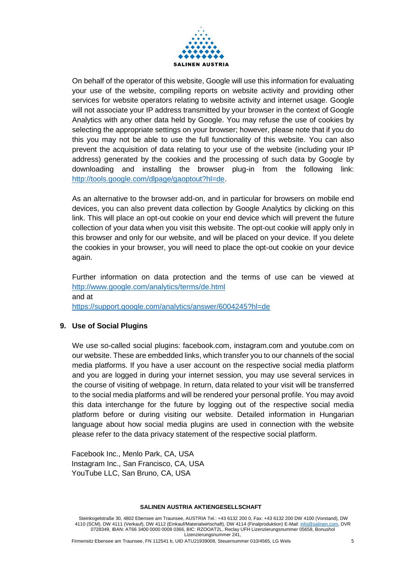

On behalf of the operator of this website, Google will use this information for evaluating your use of the website, compiling reports on website activity and providing other services for website operators relating to website activity and internet usage. Google will not associate your IP address transmitted by your browser in the context of Google Analytics with any other data held by Google. You may refuse the use of cookies by selecting the appropriate settings on your browser; however, please note that if you do this you may not be able to use the full functionality of this website. You can also prevent the acquisition of data relating to your use of the website (including your IP address) generated by the cookies and the processing of such data by Google by downloading and installing the browser plug-in from the following link: [http://tools.google.com/dlpage/gaoptout?hl=de.](http://tools.google.com/dlpage/gaoptout?hl=de)

As an alternative to the browser add-on, and in particular for browsers on mobile end devices, you can also prevent data collection by Google Analytics by clicking on this link. This will place an opt-out cookie on your end device which will prevent the future collection of your data when you visit this website. The opt-out cookie will apply only in this browser and only for our website, and will be placed on your device. If you delete the cookies in your browser, you will need to place the opt-out cookie on your device again.

Further information on data protection and the terms of use can be viewed at <http://www.google.com/analytics/terms/de.html> and at <https://support.google.com/analytics/answer/6004245?hl=de>

## **9. Use of Social Plugins**

We use so-called social plugins: facebook.com, instagram.com and youtube.com on our website. These are embedded links, which transfer you to our channels of the social media platforms. If you have a user account on the respective social media platform and you are logged in during your internet session, you may use several services in the course of visiting of webpage. In return, data related to your visit will be transferred to the social media platforms and will be rendered your personal profile. You may avoid this data interchange for the future by logging out of the respective social media platform before or during visiting our website. Detailed information in Hungarian language about how social media plugins are used in connection with the website please refer to the data privacy statement of the respective social platform.

Facebook Inc., Menlo Park, CA, USA Instagram Inc., San Francisco, CA, USA YouTube LLC, San Bruno, CA, USA

#### **SALINEN AUSTRIA AKTIENGESELLSCHAFT**